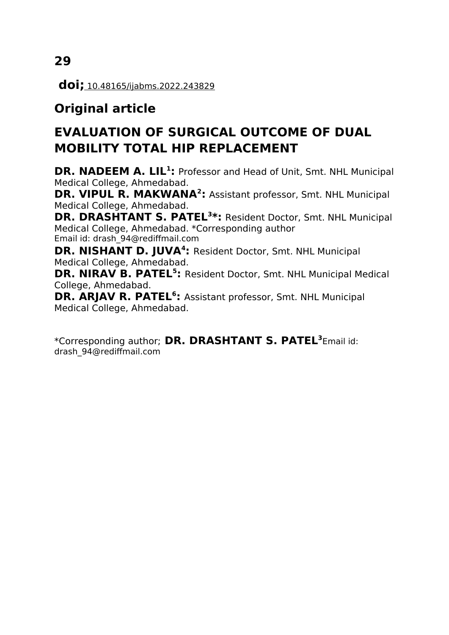**doi;** 10.48165/ijabms.2022.243829

# **Original article**

# **EVALUATION OF SURGICAL OUTCOME OF DUAL MOBILITY TOTAL HIP REPLACEMENT**

**DR. NADEEM A. LIL<sup>1</sup> :** Professor and Head of Unit, Smt. NHL Municipal Medical College, Ahmedabad.

**DR. VIPUL R. MAKWANA<sup>2</sup> :** Assistant professor, Smt. NHL Municipal Medical College, Ahmedabad.

**DR. DRASHTANT S. PATEL<sup>3</sup> \*:** Resident Doctor, Smt. NHL Municipal Medical College, Ahmedabad. \*Corresponding author Email id: [drash\\_94@rediffmail.com](mailto:drash_94@rediffmail.com)

**DR. NISHANT D. JUVA<sup>4</sup> :** Resident Doctor, Smt. NHL Municipal Medical College, Ahmedabad.

**DR. NIRAV B. PATEL<sup>5</sup>:** Resident Doctor, Smt. NHL Municipal Medical College, Ahmedabad.

**DR. ARJAV R. PATEL<sup>6</sup> :** Assistant professor, Smt. NHL Municipal Medical College, Ahmedabad.

\*Corresponding author; **DR. DRASHTANT S. PATEL<sup>3</sup>** Email id: [drash\\_94@rediffmail.com](mailto:drash_94@rediffmail.com)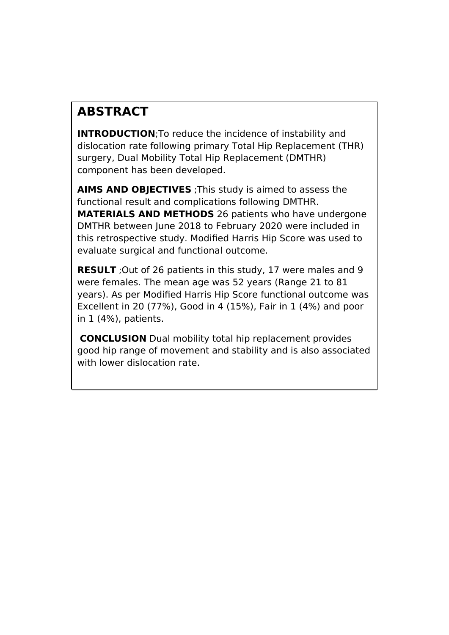# **ABSTRACT**

**INTRODUCTION; To reduce the incidence of instability and** dislocation rate following primary Total Hip Replacement (THR) surgery, Dual Mobility Total Hip Replacement (DMTHR) component has been developed.

**AIMS AND OBJECTIVES** ;This study is aimed to assess the functional result and complications following DMTHR. **MATERIALS AND METHODS** 26 patients who have undergone DMTHR between June 2018 to February 2020 were included in this retrospective study. Modified Harris Hip Score was used to evaluate surgical and functional outcome.

**RESULT** ;Out of 26 patients in this study, 17 were males and 9 were females. The mean age was 52 years (Range 21 to 81 years). As per Modified Harris Hip Score functional outcome was Excellent in 20 (77%), Good in 4 (15%), Fair in 1 (4%) and poor in 1 (4%), patients.

**CONCLUSION** Dual mobility total hip replacement provides good hip range of movement and stability and is also associated with lower dislocation rate.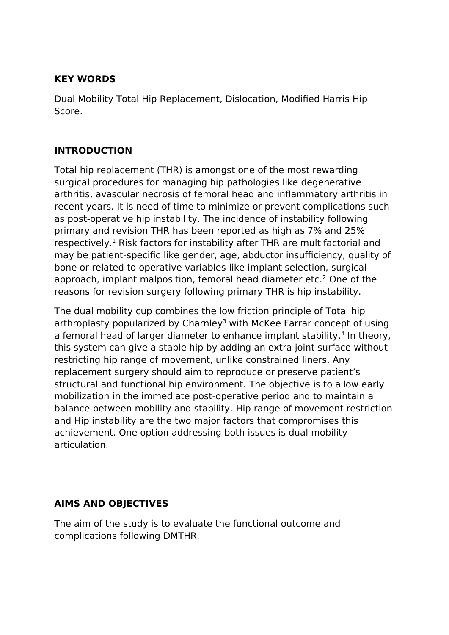### **KEY WORDS**

Dual Mobility Total Hip Replacement, Dislocation, Modified Harris Hip Score.

# **INTRODUCTION**

Total hip replacement (THR) is amongst one of the most rewarding surgical procedures for managing hip pathologies like degenerative arthritis, avascular necrosis of femoral head and inflammatory arthritis in recent years. It is need of time to minimize or prevent complications such as post-operative hip instability. The incidence of instability following primary and revision THR has been reported as high as 7% and 25% respectively.<sup>1</sup> Risk factors for instability after THR are multifactorial and may be patient-specific like gender, age, abductor insufficiency, quality of bone or related to operative variables like implant selection, surgical approach, implant malposition, femoral head diameter etc.<sup>2</sup> One of the reasons for revision surgery following primary THR is hip instability.

The dual mobility cup combines the low friction principle of Total hip arthroplasty popularized by Charnley<sup>3</sup> with McKee Farrar concept of using a femoral head of larger diameter to enhance implant stability.<sup>4</sup> In theory, this system can give a stable hip by adding an extra joint surface without restricting hip range of movement, unlike constrained liners. Any replacement surgery should aim to reproduce or preserve patient's structural and functional hip environment. The objective is to allow early mobilization in the immediate post-operative period and to maintain a balance between mobility and stability. Hip range of movement restriction and Hip instability are the two major factors that compromises this achievement. One option addressing both issues is dual mobility articulation.

### **AIMS AND OBJECTIVES**

The aim of the study is to evaluate the functional outcome and complications following DMTHR.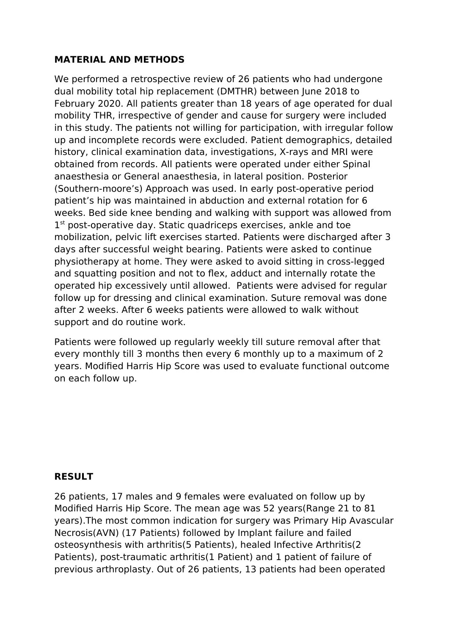### **MATERIAL AND METHODS**

We performed a retrospective review of 26 patients who had undergone dual mobility total hip replacement (DMTHR) between June 2018 to February 2020. All patients greater than 18 years of age operated for dual mobility THR, irrespective of gender and cause for surgery were included in this study. The patients not willing for participation, with irregular follow up and incomplete records were excluded. Patient demographics, detailed history, clinical examination data, investigations, X-rays and MRI were obtained from records. All patients were operated under either Spinal anaesthesia or General anaesthesia, in lateral position. Posterior (Southern-moore's) Approach was used. In early post-operative period patient's hip was maintained in abduction and external rotation for 6 weeks. Bed side knee bending and walking with support was allowed from 1<sup>st</sup> post-operative day. Static quadriceps exercises, ankle and toe mobilization, pelvic lift exercises started. Patients were discharged after 3 days after successful weight bearing. Patients were asked to continue physiotherapy at home. They were asked to avoid sitting in cross-legged and squatting position and not to flex, adduct and internally rotate the operated hip excessively until allowed. Patients were advised for regular follow up for dressing and clinical examination. Suture removal was done after 2 weeks. After 6 weeks patients were allowed to walk without support and do routine work.

Patients were followed up regularly weekly till suture removal after that every monthly till 3 months then every 6 monthly up to a maximum of 2 years. Modified Harris Hip Score was used to evaluate functional outcome on each follow up.

### **RESULT**

26 patients, 17 males and 9 females were evaluated on follow up by Modified Harris Hip Score. The mean age was 52 years(Range 21 to 81 years).The most common indication for surgery was Primary Hip Avascular Necrosis(AVN) (17 Patients) followed by Implant failure and failed osteosynthesis with arthritis(5 Patients), healed Infective Arthritis(2 Patients), post-traumatic arthritis(1 Patient) and 1 patient of failure of previous arthroplasty. Out of 26 patients, 13 patients had been operated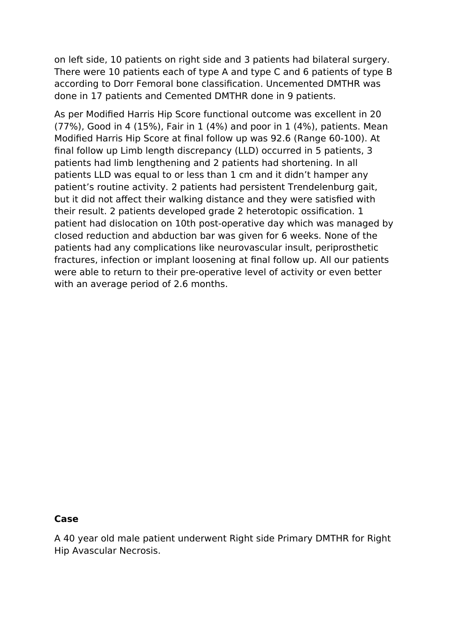on left side, 10 patients on right side and 3 patients had bilateral surgery. There were 10 patients each of type A and type C and 6 patients of type B according to Dorr Femoral bone classification. Uncemented DMTHR was done in 17 patients and Cemented DMTHR done in 9 patients.

As per Modified Harris Hip Score functional outcome was excellent in 20 (77%), Good in 4 (15%), Fair in 1 (4%) and poor in 1 (4%), patients. Mean Modified Harris Hip Score at final follow up was 92.6 (Range 60-100). At final follow up Limb length discrepancy (LLD) occurred in 5 patients, 3 patients had limb lengthening and 2 patients had shortening. In all patients LLD was equal to or less than 1 cm and it didn't hamper any patient's routine activity. 2 patients had persistent Trendelenburg gait, but it did not affect their walking distance and they were satisfied with their result. 2 patients developed grade 2 heterotopic ossification. 1 patient had dislocation on 10th post-operative day which was managed by closed reduction and abduction bar was given for 6 weeks. None of the patients had any complications like neurovascular insult, periprosthetic fractures, infection or implant loosening at final follow up. All our patients were able to return to their pre-operative level of activity or even better with an average period of 2.6 months.

#### **Case**

A 40 year old male patient underwent Right side Primary DMTHR for Right Hip Avascular Necrosis.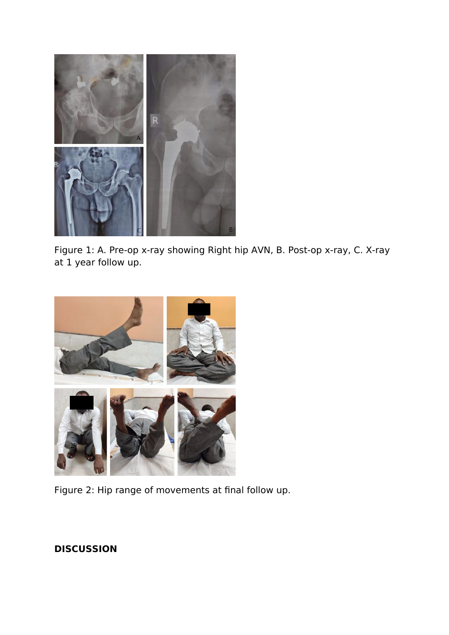

Figure 1: A. Pre-op x-ray showing Right hip AVN, B. Post-op x-ray, C. X-ray at 1 year follow up.



Figure 2: Hip range of movements at final follow up.

# **DISCUSSION**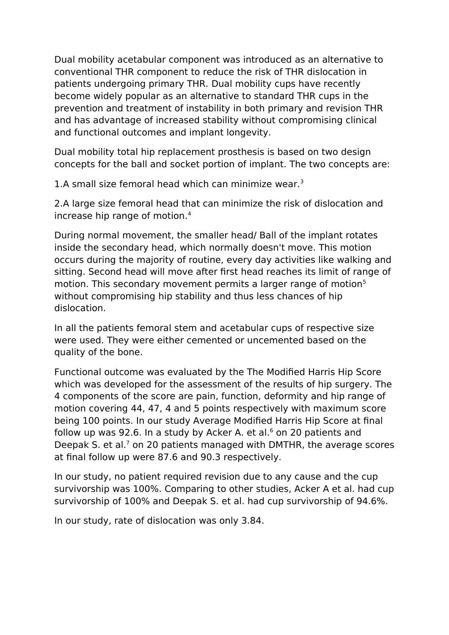Dual mobility acetabular component was introduced as an alternative to conventional THR component to reduce the risk of THR dislocation in patients undergoing primary THR. Dual mobility cups have recently become widely popular as an alternative to standard THR cups in the prevention and treatment of instability in both primary and revision THR and has advantage of increased stability without compromising clinical and functional outcomes and implant longevity.

Dual mobility total hip replacement prosthesis is based on two design concepts for the ball and socket portion of implant. The two concepts are:

1.A small size femoral head which can minimize wear.<sup>3</sup>

2.A large size femoral head that can minimize the risk of dislocation and increase hip range of motion.<sup>4</sup>

During normal movement, the smaller head/ Ball of the implant rotates inside the secondary head, which normally doesn't move. This motion occurs during the majority of routine, every day activities like walking and sitting. Second head will move after first head reaches its limit of range of motion. This secondary movement permits a larger range of motion<sup>5</sup> without compromising hip stability and thus less chances of hip dislocation.

In all the patients femoral stem and acetabular cups of respective size were used. They were either cemented or uncemented based on the quality of the bone.

Functional outcome was evaluated by the The Modified Harris Hip Score which was developed for the assessment of the results of hip surgery. The 4 components of the score are pain, function, deformity and hip range of motion covering 44, 47, 4 and 5 points respectively with maximum score being 100 points. In our study Average Modified Harris Hip Score at final follow up was 92.6. In a study by Acker A. et al.<sup>6</sup> on 20 patients and Deepak S. et al. $<sup>7</sup>$  on 20 patients managed with DMTHR, the average scores</sup> at final follow up were 87.6 and 90.3 respectively.

In our study, no patient required revision due to any cause and the cup survivorship was 100%. Comparing to other studies, Acker A et al. had cup survivorship of 100% and Deepak S. et al. had cup survivorship of 94.6%.

In our study, rate of dislocation was only 3.84.